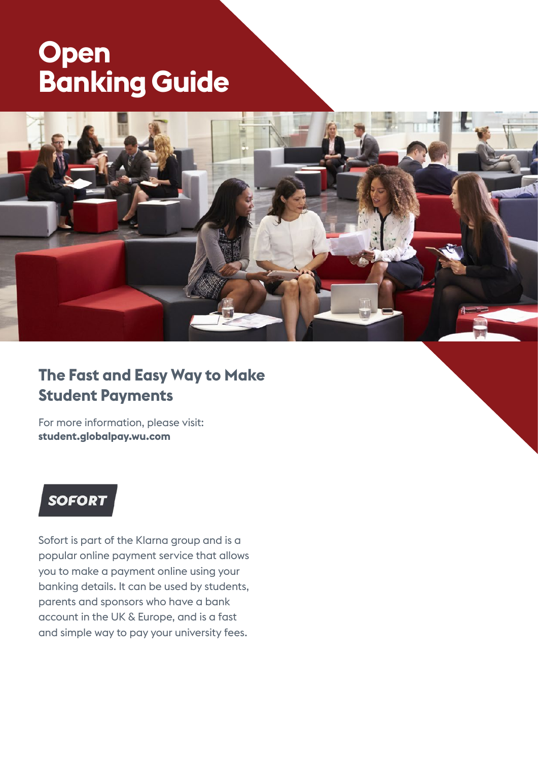# **Open Banking Guide**



### **The Fast and Easy Way to Make Student Payments**

For more information, please visit: **student.globalpay.wu.com**

## **SOFORT**

Sofort is part of the Klarna group and is a popular online payment service that allows you to make a payment online using your banking details. It can be used by students, parents and sponsors who have a bank account in the UK & Europe, and is a fast and simple way to pay your university fees.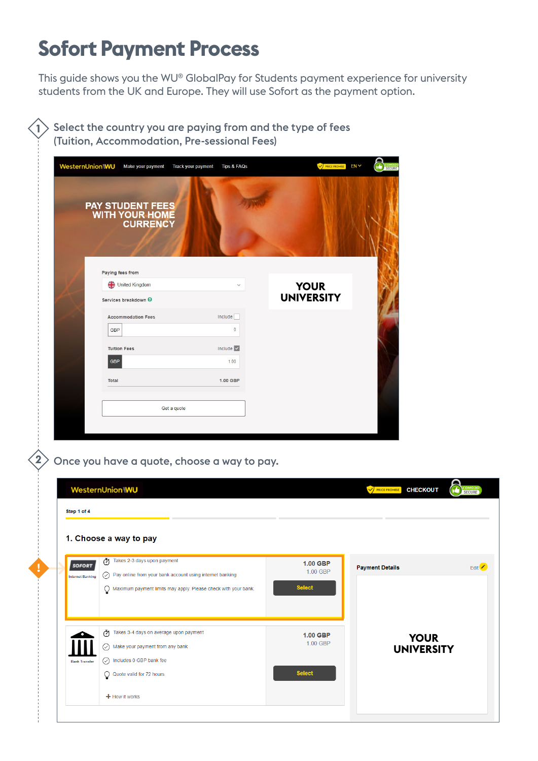## **Sofort Payment Process**

This guide shows you the WU® GlobalPay for Students payment experience for university students from the UK and Europe. They will use Sofort as the payment option.

 $>$  Select the country you are paying from and the type of fees (Tuition, Accommodation, Pre-sessional Fees) **1**

| <b>PAY STUDENT FEES</b><br>WITH YOUR HOME<br><b>CURRENCY</b> |                                  |                                  |
|--------------------------------------------------------------|----------------------------------|----------------------------------|
|                                                              |                                  |                                  |
| Paying fees from                                             |                                  |                                  |
| United Kingdom<br>Services breakdown @                       | $\checkmark$                     | <b>YOUR</b><br><b>UNIVERSITY</b> |
| <b>Accommodation Fees</b>                                    | Include                          |                                  |
| <b>GBP</b>                                                   | $\mathbb O$                      |                                  |
| <b>Tuition Fees</b>                                          | Include $\vert \checkmark \vert$ |                                  |
|                                                              |                                  |                                  |
| <b>GBP</b>                                                   | 1.00                             |                                  |

 $\ket{2}$  Once you have a quote, choose a way to pay.

**!**

|                         | <b>WesternUnion WU</b>                                                                             |                      | COMODO<br>SECURE<br>G<br><b>V PRICE PROMISE</b><br><b>CHECKOUT</b> |
|-------------------------|----------------------------------------------------------------------------------------------------|----------------------|--------------------------------------------------------------------|
| Step 1 of 4             |                                                                                                    |                      |                                                                    |
|                         | 1. Choose a way to pay                                                                             |                      |                                                                    |
| <b>SOFORT</b>           | Takes 2-3 days upon payment<br>$\bigcirc$ Pay online from your bank account using internet banking | 1.00 GBP<br>1.00 GBP | Edit <sup>/</sup><br><b>Payment Details</b>                        |
| <b>Internet Banking</b> | $Q$ Maximum payment limits may apply. Please check with your bank.                                 | <b>Select</b>        |                                                                    |
|                         | Ō<br>Takes 3-4 days on average upon payment<br>$\oslash$ Make your payment from any bank           | 1.00 GBP<br>1.00 GBP | <b>YOUR</b><br><b>UNIVERSITY</b>                                   |
| <b>Bank Transfer</b>    | $\oslash$ Includes 0 GBP bank fee<br>Q Quote valid for 72 hours                                    | <b>Select</b>        |                                                                    |
|                         | $+$ How it works                                                                                   |                      |                                                                    |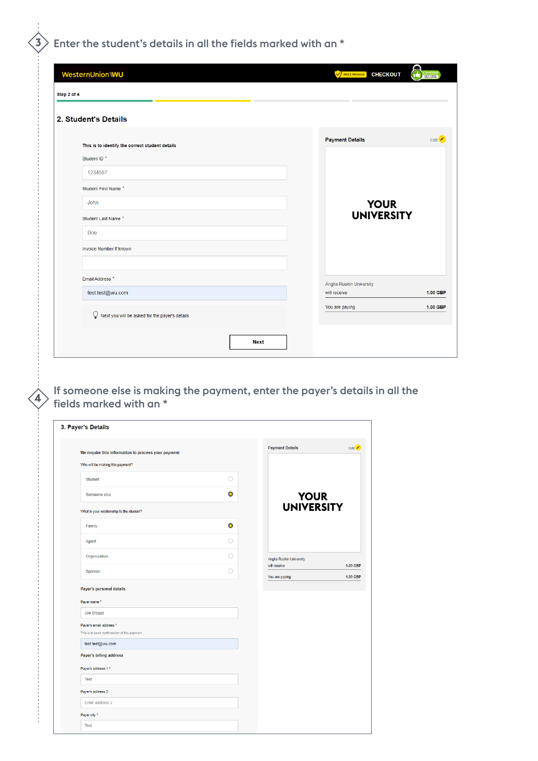### $\langle {\bf 3} \rangle$  Enter the student's details in all the fields marked with an  $^*$

| WesternUnion\\WU                                    | 2<br>COMODO<br>SECURE<br><b>V PRICE PROMISE</b><br><b>CHECKOUT</b> |
|-----------------------------------------------------|--------------------------------------------------------------------|
| Step 2 of 4                                         |                                                                    |
| 2. Student's Details                                |                                                                    |
| This is to identify the correct student details     | <b>Payment Details</b><br>Edit                                     |
| Student ID <sup>*</sup>                             |                                                                    |
| 1234567                                             |                                                                    |
| Student First Name*                                 |                                                                    |
| <b>John</b>                                         | <b>YOUR</b>                                                        |
| Student Last Name*                                  | <b>UNIVERSITY</b>                                                  |
| Doe                                                 |                                                                    |
| Invoice Number if known                             |                                                                    |
|                                                     |                                                                    |
| Email Address *                                     | Anglia Ruskin University                                           |
| test.test@wu.com                                    | 1.00 GBP<br>will receive                                           |
| Q<br>Next you will be asked for the payer's details | You are paying<br>1.00 GBP                                         |
| Next                                                |                                                                    |
|                                                     |                                                                    |

If someone else is making the payment, enter the payer's details in all the  $\langle 4 \rangle$  fields matical with  $\langle 1 \rangle$  $^{\rangle}$  fields marked with an  $^{\star}$ 

| 3. Payer's Details                                                      |                     |                          |                                    |
|-------------------------------------------------------------------------|---------------------|--------------------------|------------------------------------|
| We require this information to process your payment                     |                     | <b>Payment Details</b>   | Edit <sup>/</sup>                  |
| Who will be making this payment?                                        |                     |                          |                                    |
|                                                                         |                     |                          |                                    |
| <b>Student</b>                                                          | $\circlearrowright$ |                          |                                    |
| Someone else                                                            | $\bullet$           | <b>YOUR</b>              |                                    |
| What is your relationship to the student?                               |                     | <b>UNIVERSITY</b>        |                                    |
| Family                                                                  | $\bullet$           |                          |                                    |
| Agent                                                                   | $\bigcirc$          |                          |                                    |
| Organization                                                            | 0                   | Anglia Ruskin University |                                    |
| Sponsor                                                                 | O                   | will receive             | <b>1.00 GBP</b><br><b>1.00 GBP</b> |
| Payer name *                                                            |                     |                          |                                    |
| Joe Bloggs                                                              |                     |                          |                                    |
| Payer's email address *<br>This is to send confirmation of this payment |                     |                          |                                    |
| test.test@wu.com                                                        |                     |                          |                                    |
|                                                                         |                     |                          |                                    |
| Payer's billing address                                                 |                     |                          |                                    |
| Payer's address 1 *                                                     |                     |                          |                                    |
| Test                                                                    |                     |                          |                                    |
| Payer's address 2                                                       |                     |                          |                                    |
| Enter address 2                                                         |                     |                          |                                    |
| Payer city *                                                            |                     |                          |                                    |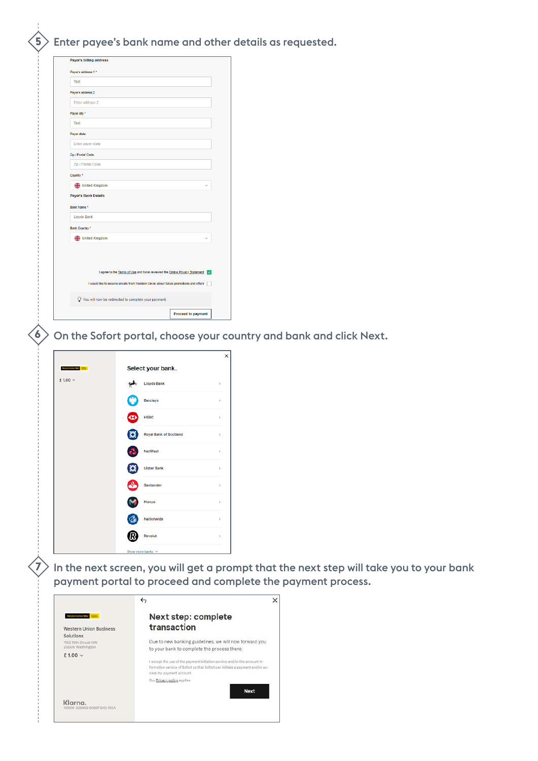**5** Enter payee's bank name and other details as requested.

| Test                        |                                                                                            |
|-----------------------------|--------------------------------------------------------------------------------------------|
| Payer's address 2           |                                                                                            |
| Enter address 2             |                                                                                            |
| Payer city *                |                                                                                            |
| Test                        |                                                                                            |
| Payer state                 |                                                                                            |
| Enter payer state           |                                                                                            |
| Zip / Postal Code           |                                                                                            |
| Zip / Postal Code           |                                                                                            |
| Country <sup>*</sup>        |                                                                                            |
| United Kingdom              |                                                                                            |
| <b>Payer's Bank Details</b> |                                                                                            |
| Bank Name *                 |                                                                                            |
| <b>Lloyds Bank</b>          |                                                                                            |
| Bank Country *              |                                                                                            |
|                             |                                                                                            |
|                             |                                                                                            |
| ← United Kingdom            | I agree to the Terms of Use and have reviewed the Online Privacy Statement<br>$\checkmark$ |
|                             | I would like to receive emails from Western Union about future promotions and offers       |
|                             | O You will now be redirected to complete your payment.                                     |

 $\langle \boldsymbol{\delta} \rangle$  On the Sofort portal, choose your country and bank and click Next.

| Westernträuntwo <mark>tions</mark> | Select your bank.           |               |
|------------------------------------|-----------------------------|---------------|
| £1.00 $\vee$                       | <b>Lloyds Bank</b>          | $\,$          |
|                                    | ж<br><b>Barclays</b>        | $\mathcal{P}$ |
|                                    | <b>HSBC</b><br>$\mathbf{x}$ | $\mathcal{P}$ |
|                                    | Royal Bank of Scotland<br>Б | $\mathcal{P}$ |
|                                    | <b>NatWest</b>              | $\mathcal{P}$ |
|                                    | <b>Ulster Bank</b>          | $\mathcal{P}$ |
|                                    | Santander                   | $\,$          |
|                                    | Monzo                       | $\mathcal{P}$ |
|                                    | Nationwide                  | $\,$          |
|                                    | Revolut                     | $\,$          |
|                                    | Show more banks ~           |               |

**7**

 $\geq$  In the next screen, you will get a prompt that the next step will take you to your bank payment portal to proceed and complete the payment process.

|                                                          | ↔<br>×                                                                                                                                                                                |
|----------------------------------------------------------|---------------------------------------------------------------------------------------------------------------------------------------------------------------------------------------|
| <b>WestermUnion WiJ</b><br><b>Western Union Business</b> | Next step: complete<br>transaction                                                                                                                                                    |
| Solutions<br>1152 15th Street NW<br>20005 Washington     | Due to new banking guidelines, we will now forward you<br>to your bank to complete the process there.                                                                                 |
| $£1.00 \vee$                                             | I accept the use of the payment initiation service and/or the account in-<br>formation service of Sofort so that Sofort can initiate a payment and/or ac-<br>cess my payment account. |
|                                                          | Our Privacy policy applies<br><b>Next</b>                                                                                                                                             |
| Klarna.<br>9-309969-6088FRAD-913A                        |                                                                                                                                                                                       |